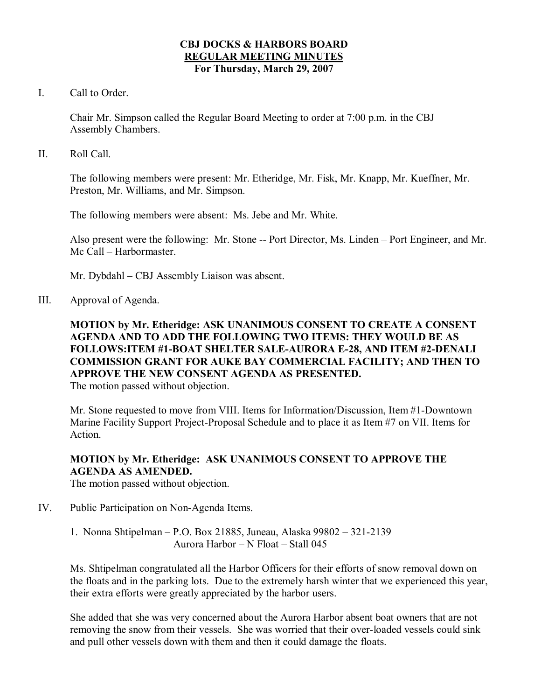### **CBJ DOCKS & HARBORS BOARD REGULAR MEETING MINUTES For Thursday, March 29, 2007**

I. Call to Order.

Chair Mr. Simpson called the Regular Board Meeting to order at 7:00 p.m. in the CBJ Assembly Chambers.

II. Roll Call.

The following members were present: Mr. Etheridge, Mr. Fisk, Mr. Knapp, Mr. Kueffner, Mr. Preston, Mr. Williams, and Mr. Simpson.

The following members were absent: Ms. Jebe and Mr. White.

Also present were the following: Mr. Stone -- Port Director, Ms. Linden – Port Engineer, and Mr. Mc Call – Harbormaster.

Mr. Dybdahl – CBJ Assembly Liaison was absent.

III. Approval of Agenda.

# **MOTION by Mr. Etheridge: ASK UNANIMOUS CONSENT TO CREATE A CONSENT AGENDA AND TO ADD THE FOLLOWING TWO ITEMS: THEY WOULD BE AS FOLLOWS:ITEM #1BOAT SHELTER SALEAURORA E28, AND ITEM #2DENALI COMMISSION GRANT FOR AUKE BAY COMMERCIAL FACILITY; AND THEN TO APPROVE THE NEW CONSENT AGENDA AS PRESENTED.**

The motion passed without objection.

Mr. Stone requested to move from VIII. Items for Information/Discussion, Item #1-Downtown Marine Facility Support Project-Proposal Schedule and to place it as Item #7 on VII. Items for **Action** 

# **MOTION by Mr. Etheridge: ASK UNANIMOUS CONSENT TO APPROVE THE AGENDA AS AMENDED.**

The motion passed without objection.

IV. Public Participation on Non-Agenda Items.

1. Nonna Shtipelman – P.O. Box 21885, Juneau, Alaska 99802 – 321-2139 Aurora Harbor – N Float – Stall 045

Ms. Shtipelman congratulated all the Harbor Officers for their efforts of snow removal down on the floats and in the parking lots. Due to the extremely harsh winter that we experienced this year, their extra efforts were greatly appreciated by the harbor users.

She added that she was very concerned about the Aurora Harbor absent boat owners that are not removing the snow from their vessels. She was worried that their over-loaded vessels could sink and pull other vessels down with them and then it could damage the floats.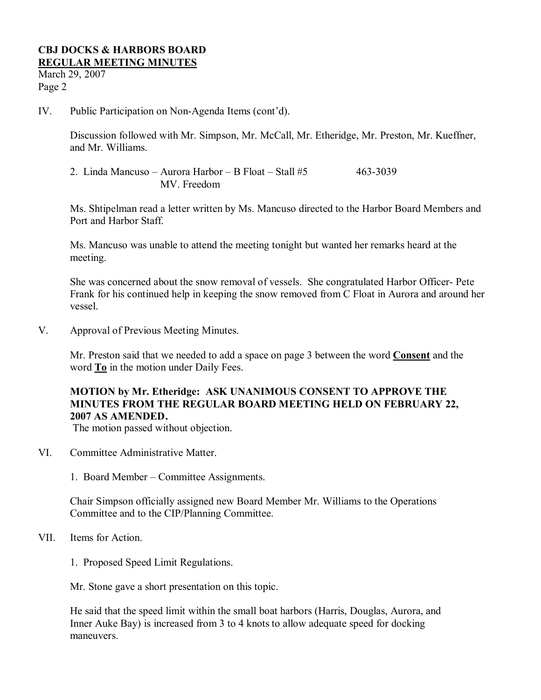March 29, 2007 Page 2

IV. Public Participation on Non-Agenda Items (cont'd).

Discussion followed with Mr. Simpson, Mr. McCall, Mr. Etheridge, Mr. Preston, Mr. Kueffner, and Mr. Williams.

2. Linda Mancuso – Aurora Harbor – B Float – Stall  $#5$  463-3039 MV. Freedom

Ms. Shtipelman read a letter written by Ms. Mancuso directed to the Harbor Board Members and Port and Harbor Staff.

Ms. Mancuso was unable to attend the meeting tonight but wanted her remarks heard at the meeting.

She was concerned about the snow removal of vessels. She congratulated Harbor Officer-Pete Frank for his continued help in keeping the snow removed from C Float in Aurora and around her vessel.

V. Approval of Previous Meeting Minutes.

Mr. Preston said that we needed to add a space on page 3 between the word **Consent** and the word **To** in the motion under Daily Fees.

## **MOTION by Mr. Etheridge: ASK UNANIMOUS CONSENT TO APPROVE THE MINUTES FROM THE REGULAR BOARD MEETING HELD ON FEBRUARY 22, 2007 AS AMENDED.**

The motion passed without objection.

- VI. Committee Administrative Matter.
	- 1. Board Member Committee Assignments.

Chair Simpson officially assigned new Board Member Mr. Williams to the Operations Committee and to the CIP/Planning Committee.

- VII. Items for Action.
	- 1. Proposed Speed Limit Regulations.

Mr. Stone gave a short presentation on this topic.

He said that the speed limit within the small boat harbors (Harris, Douglas, Aurora, and Inner Auke Bay) is increased from 3 to 4 knots to allow adequate speed for docking maneuvers.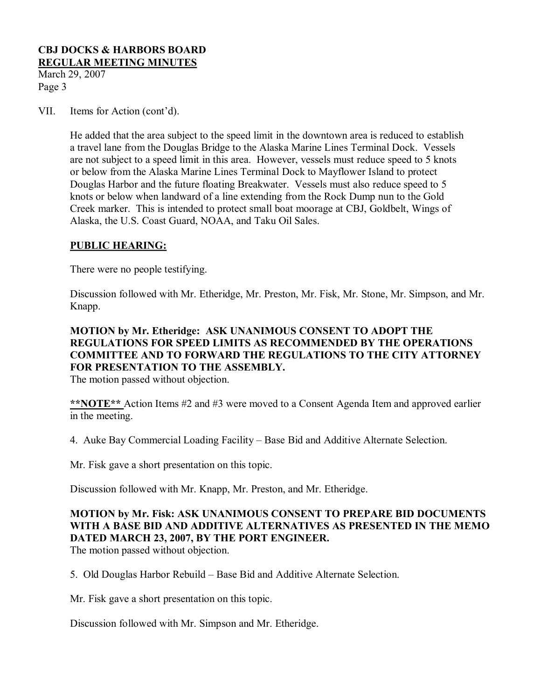March 29, 2007 Page 3

VII. Items for Action (cont'd).

He added that the area subject to the speed limit in the downtown area is reduced to establish a travel lane from the Douglas Bridge to the Alaska Marine Lines Terminal Dock. Vessels are not subject to a speed limit in this area. However, vessels must reduce speed to 5 knots or below from the Alaska Marine Lines Terminal Dock to Mayflower Island to protect Douglas Harbor and the future floating Breakwater. Vessels must also reduce speed to 5 knots or below when landward of a line extending from the Rock Dump nun to the Gold Creek marker. This is intended to protect small boat moorage at CBJ, Goldbelt, Wings of Alaska, the U.S. Coast Guard, NOAA, and Taku Oil Sales.

## **PUBLIC HEARING:**

There were no people testifying.

Discussion followed with Mr. Etheridge, Mr. Preston, Mr. Fisk, Mr. Stone, Mr. Simpson, and Mr. Knapp.

# **MOTION by Mr. Etheridge: ASK UNANIMOUS CONSENT TO ADOPT THE REGULATIONS FOR SPEED LIMITS AS RECOMMENDED BY THE OPERATIONS COMMITTEE AND TO FORWARD THE REGULATIONS TO THE CITY ATTORNEY FOR PRESENTATION TO THE ASSEMBLY.**

The motion passed without objection.

**\*\*NOTE\*\*** Action Items #2 and #3 were moved to a Consent Agenda Item and approved earlier in the meeting.

4. Auke Bay Commercial Loading Facility – Base Bid and Additive Alternate Selection.

Mr. Fisk gave a short presentation on this topic.

Discussion followed with Mr. Knapp, Mr. Preston, and Mr. Etheridge.

# **MOTION by Mr. Fisk: ASK UNANIMOUS CONSENT TO PREPARE BID DOCUMENTS WITH A BASE BID AND ADDITIVE ALTERNATIVES AS PRESENTED IN THE MEMO DATED MARCH 23, 2007, BY THE PORT ENGINEER.**

The motion passed without objection.

5. Old Douglas Harbor Rebuild – Base Bid and Additive Alternate Selection.

Mr. Fisk gave a short presentation on this topic.

Discussion followed with Mr. Simpson and Mr. Etheridge.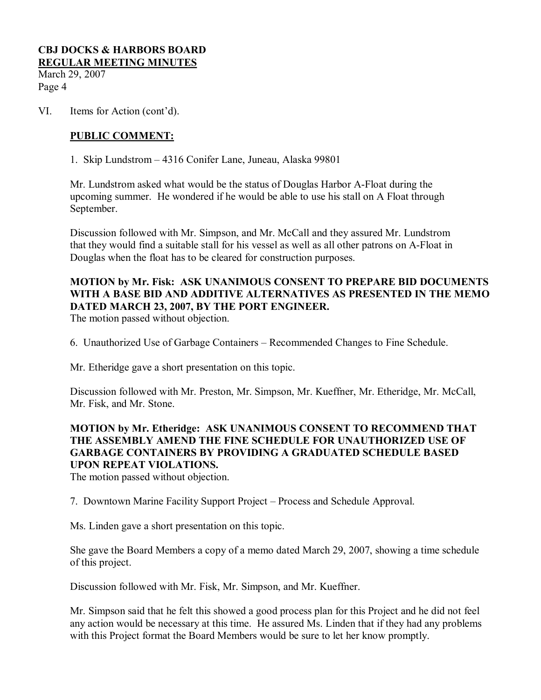March 29, 2007 Page 4

VI. Items for Action (cont'd).

### **PUBLIC COMMENT:**

1. Skip Lundstrom – 4316 Conifer Lane, Juneau, Alaska 99801

Mr. Lundstrom asked what would be the status of Douglas Harbor AFloat during the upcoming summer. He wondered if he would be able to use his stall on A Float through September.

Discussion followed with Mr. Simpson, and Mr. McCall and they assured Mr. Lundstrom that they would find a suitable stall for his vessel as well as all other patrons on A-Float in Douglas when the float has to be cleared for construction purposes.

# **MOTION by Mr. Fisk: ASK UNANIMOUS CONSENT TO PREPARE BID DOCUMENTS WITH A BASE BID AND ADDITIVE ALTERNATIVES AS PRESENTED IN THE MEMO DATED MARCH 23, 2007, BY THE PORT ENGINEER.**

The motion passed without objection.

6. Unauthorized Use of Garbage Containers – Recommended Changes to Fine Schedule.

Mr. Etheridge gave a short presentation on this topic.

Discussion followed with Mr. Preston, Mr. Simpson, Mr. Kueffner, Mr. Etheridge, Mr. McCall, Mr. Fisk, and Mr. Stone.

## **MOTION by Mr. Etheridge: ASK UNANIMOUS CONSENT TO RECOMMEND THAT THE ASSEMBLY AMEND THE FINE SCHEDULE FOR UNAUTHORIZED USE OF GARBAGE CONTAINERS BY PROVIDING A GRADUATED SCHEDULE BASED UPON REPEAT VIOLATIONS.**

The motion passed without objection.

7. Downtown Marine Facility Support Project – Process and Schedule Approval.

Ms. Linden gave a short presentation on this topic.

She gave the Board Members a copy of a memo dated March 29, 2007, showing a time schedule of this project.

Discussion followed with Mr. Fisk, Mr. Simpson, and Mr. Kueffner.

Mr. Simpson said that he felt this showed a good process plan for this Project and he did not feel any action would be necessary at this time. He assured Ms. Linden that if they had any problems with this Project format the Board Members would be sure to let her know promptly.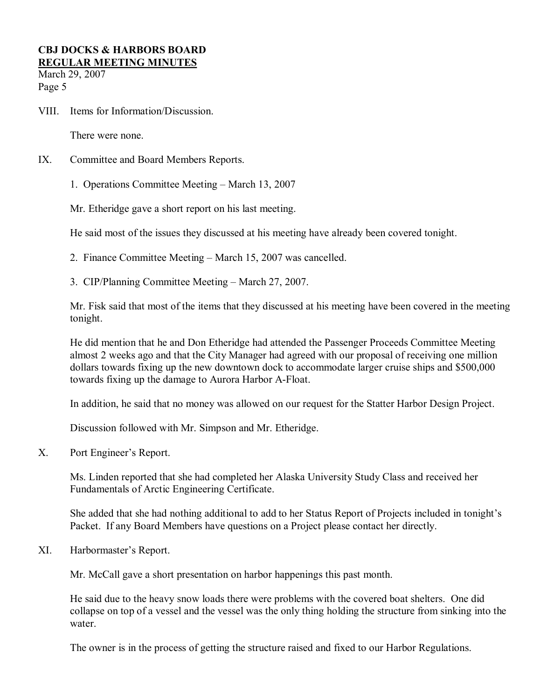March 29, 2007 Page 5

VIII. Items for Information/Discussion.

There were none.

- IX. Committee and Board Members Reports.
	- 1. Operations Committee Meeting March 13, 2007

Mr. Etheridge gave a short report on his last meeting.

He said most of the issues they discussed at his meeting have already been covered tonight.

- 2. Finance Committee Meeting March 15, 2007 was cancelled.
- 3. CIP/Planning Committee Meeting March 27, 2007.

Mr. Fisk said that most of the items that they discussed at his meeting have been covered in the meeting tonight.

He did mention that he and Don Etheridge had attended the Passenger Proceeds Committee Meeting almost 2 weeks ago and that the City Manager had agreed with our proposal of receiving one million dollars towards fixing up the new downtown dock to accommodate larger cruise ships and \$500,000 towards fixing up the damage to Aurora Harbor A-Float.

In addition, he said that no money was allowed on our request for the Statter Harbor Design Project.

Discussion followed with Mr. Simpson and Mr. Etheridge.

X. Port Engineer's Report.

Ms. Linden reported that she had completed her Alaska University Study Class and received her Fundamentals of Arctic Engineering Certificate.

She added that she had nothing additional to add to her Status Report of Projects included in tonight's Packet. If any Board Members have questions on a Project please contact her directly.

XI. Harbormaster's Report.

Mr. McCall gave a short presentation on harbor happenings this past month.

He said due to the heavy snow loads there were problems with the covered boat shelters. One did collapse on top of a vessel and the vessel was the only thing holding the structure from sinking into the water.

The owner is in the process of getting the structure raised and fixed to our Harbor Regulations.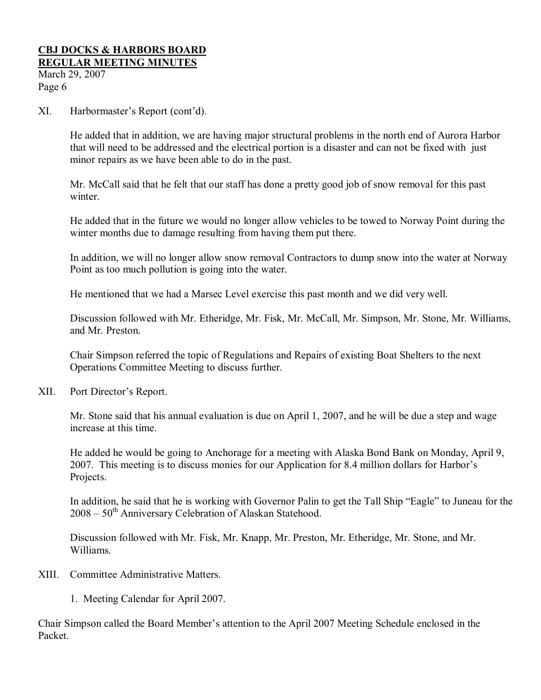# **CBJ DOCKS & HARBORS BOARD**

**REGULAR MEETING MINUTES** March 29, 2007 Page 6

XI. Harbormaster's Report (cont'd).

He added that in addition, we are having major structural problems in the north end of Aurora Harbor that will need to be addressed and the electrical portion is a disaster and can not be fixed with just minor repairs as we have been able to do in the past.

Mr. McCall said that he felt that our staff has done a pretty good job of snow removal for this past winter

He added that in the future we would no longer allow vehicles to be towed to Norway Point during the winter months due to damage resulting from having them put there.

In addition, we will no longer allow snow removal Contractors to dump snow into the water at Norway Point as too much pollution is going into the water.

He mentioned that we had a Marsec Level exercise this past month and we did very well.

Discussion followed with Mr. Etheridge, Mr. Fisk, Mr. McCall, Mr. Simpson, Mr. Stone, Mr. Williams, and Mr. Preston.

Chair Simpson referred the topic of Regulations and Repairs of existing Boat Shelters to the next Operations Committee Meeting to discuss further.

XII. Port Director's Report.

Mr. Stone said that his annual evaluation is due on April 1, 2007, and he will be due a step and wage increase at this time.

He added he would be going to Anchorage for a meeting with Alaska Bond Bank on Monday, April 9, 2007. This meeting is to discuss monies for our Application for 8.4 million dollars for Harbor's Projects.

In addition, he said that he is working with Governor Palin to get the Tall Ship "Eagle" to Juneau for the  $2008 - 50$ <sup>th</sup> Anniversary Celebration of Alaskan Statehood.

Discussion followed with Mr. Fisk, Mr. Knapp, Mr. Preston, Mr. Etheridge, Mr. Stone, and Mr. Williams.

- XIII. Committee Administrative Matters.
	- 1. Meeting Calendar for April 2007.

Chair Simpson called the Board Member's attention to the April 2007 Meeting Schedule enclosed in the Packet.